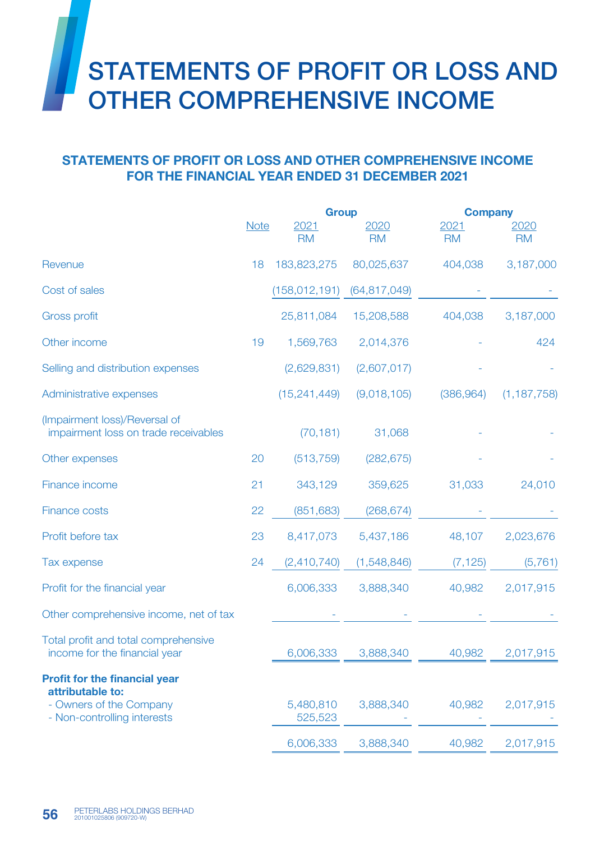## STATEMENTS OF PROFIT OR LOSS AND OTHER COMPREHENSIVE INCOME

## STATEMENTS OF PROFIT OR LOSS AND OTHER COMPREHENSIVE INCOME FOR THE FINANCIAL YEAR ENDED 31 DECEMBER 2021

|                                                                       |             | <b>Group</b>         |                | <b>Company</b> |               |
|-----------------------------------------------------------------------|-------------|----------------------|----------------|----------------|---------------|
|                                                                       | <b>Note</b> | 2021                 | 2020           | 2021           | 2020          |
|                                                                       |             | <b>RM</b>            | <b>RM</b>      | <b>RM</b>      | <b>RM</b>     |
| Revenue                                                               | 18          | 183,823,275          | 80,025,637     | 404,038        | 3,187,000     |
| Cost of sales                                                         |             | (158, 012, 191)      | (64, 817, 049) |                |               |
| <b>Gross profit</b>                                                   |             | 25,811,084           | 15,208,588     | 404,038        | 3,187,000     |
| Other income                                                          | 19          | 1,569,763            | 2,014,376      |                | 424           |
| Selling and distribution expenses                                     |             | (2,629,831)          | (2,607,017)    |                |               |
| Administrative expenses                                               |             | (15, 241, 449)       | (9,018,105)    | (386, 964)     | (1, 187, 758) |
| (Impairment loss)/Reversal of<br>impairment loss on trade receivables |             | (70, 181)            | 31,068         |                |               |
| Other expenses                                                        | 20          | (513, 759)           | (282, 675)     |                |               |
| Finance income                                                        | 21          | 343,129              | 359,625        | 31,033         | 24,010        |
| <b>Finance costs</b>                                                  | 22          | (851, 683)           | (268, 674)     |                |               |
| Profit before tax                                                     | 23          | 8,417,073            | 5,437,186      | 48,107         | 2,023,676     |
| Tax expense                                                           | 24          | (2,410,740)          | (1,548,846)    | (7, 125)       | (5, 761)      |
| Profit for the financial year                                         |             | 6,006,333            | 3,888,340      | 40,982         | 2,017,915     |
| Other comprehensive income, net of tax                                |             |                      |                |                |               |
| Total profit and total comprehensive<br>income for the financial year |             | 6,006,333            | 3,888,340      | 40,982         | 2,017,915     |
| <b>Profit for the financial year</b><br>attributable to:              |             |                      |                |                |               |
| - Owners of the Company<br>- Non-controlling interests                |             | 5,480,810<br>525,523 | 3,888,340      | 40,982         | 2,017,915     |
|                                                                       |             | 6,006,333            | 3,888,340      | 40,982         | 2,017,915     |